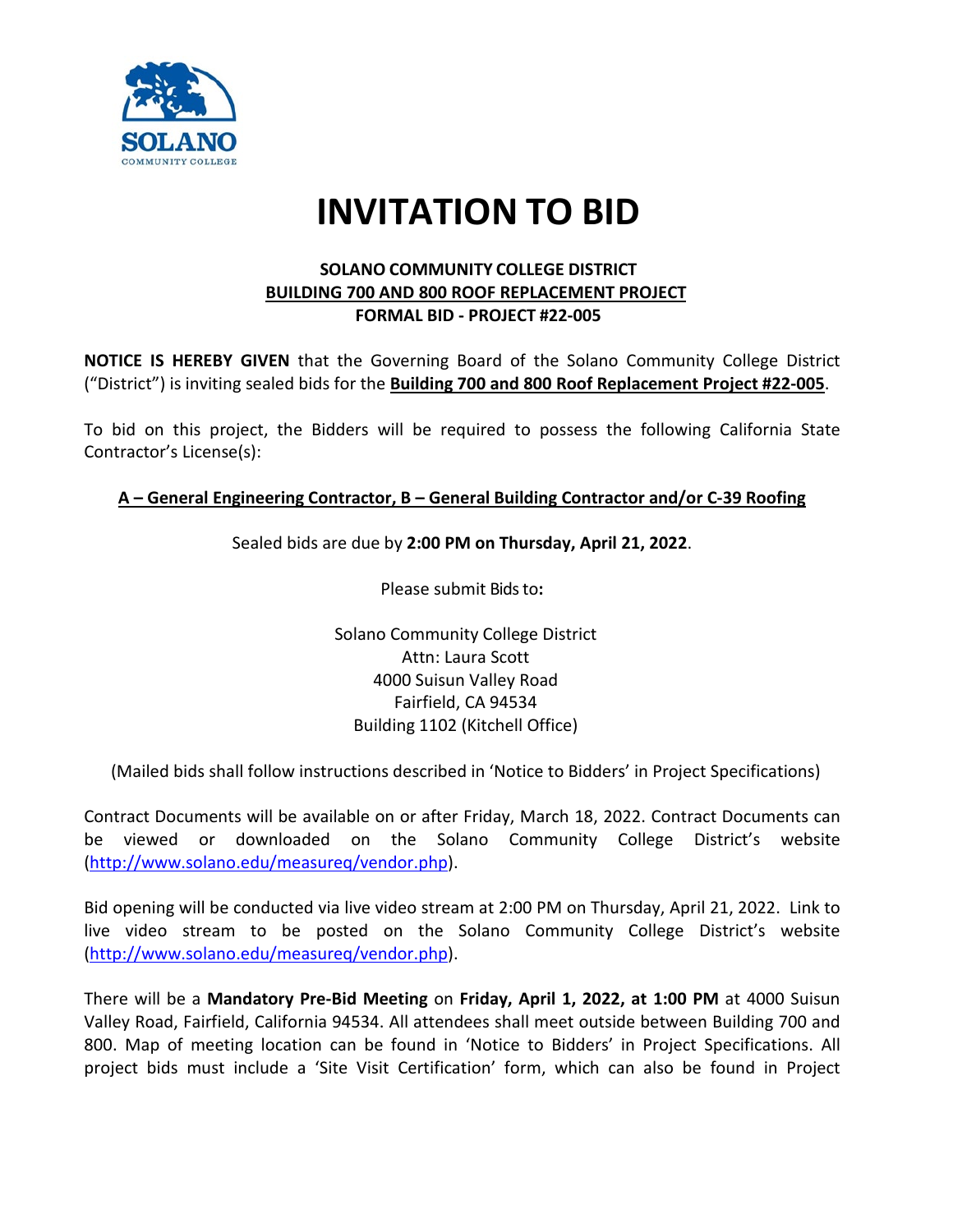

## **INVITATION TO BID**

## **SOLANO COMMUNITY COLLEGE DISTRICT BUILDING 700 AND 800 ROOF REPLACEMENT PROJECT FORMAL BID - PROJECT #22-005**

**NOTICE IS HEREBY GIVEN** that the Governing Board of the Solano Community College District ("District") is inviting sealed bids for the **Building 700 and 800 Roof Replacement Project #22-005**.

To bid on this project, the Bidders will be required to possess the following California State Contractor's License(s):

## **A – General Engineering Contractor, B – General Building Contractor and/or C-39 Roofing**

## Sealed bids are due by **2:00 PM on Thursday, April 21, 2022**.

Please submit Bids to**:**

Solano Community College District Attn: Laura Scott 4000 Suisun Valley Road Fairfield, CA 94534 Building 1102 (Kitchell Office)

(Mailed bids shall follow instructions described in 'Notice to Bidders' in Project Specifications)

Contract Documents will be available on or after Friday, March 18, 2022. Contract Documents can be viewed or downloaded on the Solano Community College District's website [\(http://www.solano.edu/measureq/vendor.php\)](http://www.solano.edu/measureq/vendor.php).

Bid opening will be conducted via live video stream at 2:00 PM on Thursday, April 21, 2022. Link to live video stream to be posted on the Solano Community College District's website [\(http://www.solano.edu/measureq/vendor.php\)](http://www.solano.edu/measureq/vendor.php).

There will be a **Mandatory Pre-Bid Meeting** on **Friday, April 1, 2022, at 1:00 PM** at 4000 Suisun Valley Road, Fairfield, California 94534. All attendees shall meet outside between Building 700 and 800. Map of meeting location can be found in 'Notice to Bidders' in Project Specifications. All project bids must include a 'Site Visit Certification' form, which can also be found in Project